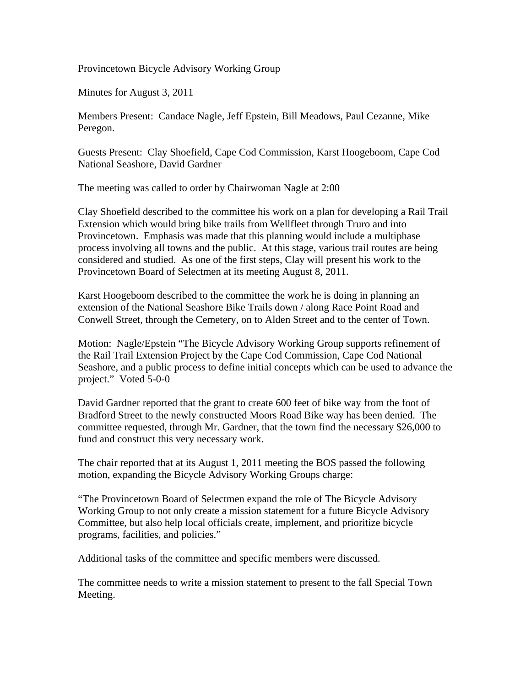Provincetown Bicycle Advisory Working Group

Minutes for August 3, 2011

Members Present: Candace Nagle, Jeff Epstein, Bill Meadows, Paul Cezanne, Mike Peregon.

Guests Present: Clay Shoefield, Cape Cod Commission, Karst Hoogeboom, Cape Cod National Seashore, David Gardner

The meeting was called to order by Chairwoman Nagle at 2:00

Clay Shoefield described to the committee his work on a plan for developing a Rail Trail Extension which would bring bike trails from Wellfleet through Truro and into Provincetown. Emphasis was made that this planning would include a multiphase process involving all towns and the public. At this stage, various trail routes are being considered and studied. As one of the first steps, Clay will present his work to the Provincetown Board of Selectmen at its meeting August 8, 2011.

Karst Hoogeboom described to the committee the work he is doing in planning an extension of the National Seashore Bike Trails down / along Race Point Road and Conwell Street, through the Cemetery, on to Alden Street and to the center of Town.

Motion: Nagle/Epstein "The Bicycle Advisory Working Group supports refinement of the Rail Trail Extension Project by the Cape Cod Commission, Cape Cod National Seashore, and a public process to define initial concepts which can be used to advance the project." Voted 5-0-0

David Gardner reported that the grant to create 600 feet of bike way from the foot of Bradford Street to the newly constructed Moors Road Bike way has been denied. The committee requested, through Mr. Gardner, that the town find the necessary \$26,000 to fund and construct this very necessary work.

The chair reported that at its August 1, 2011 meeting the BOS passed the following motion, expanding the Bicycle Advisory Working Groups charge:

"The Provincetown Board of Selectmen expand the role of The Bicycle Advisory Working Group to not only create a mission statement for a future Bicycle Advisory Committee, but also help local officials create, implement, and prioritize bicycle programs, facilities, and policies."

Additional tasks of the committee and specific members were discussed.

The committee needs to write a mission statement to present to the fall Special Town Meeting.